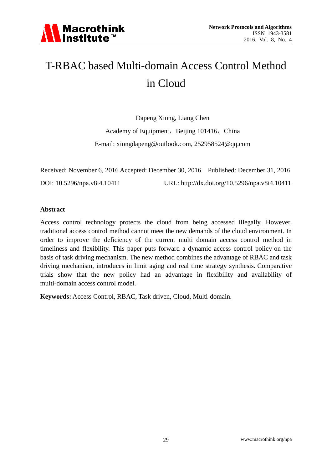

# T-RBAC based Multi-domain Access Control Method in Cloud

Dapeng Xiong, Liang Chen Academy of Equipment, Beijing 101416, China E-mail: [xiongdapeng@outlook.com,](mailto:xiongdapeng@outlook.com) 252958524@qq.com

| Received: November 6, 2016 Accepted: December 30, 2016 Published: December 31, 2016 |                                               |
|-------------------------------------------------------------------------------------|-----------------------------------------------|
| DOI: 10.5296/npa.v8i4.10411                                                         | URL: http://dx.doi.org/10.5296/npa.v8i4.10411 |

# **Abstract**

Access control technology protects the cloud from being accessed illegally. However, traditional access control method cannot meet the new demands of the cloud environment. In order to improve the deficiency of the current multi domain access control method in timeliness and flexibility. This paper puts forward a dynamic access control policy on the basis of task driving mechanism. The new method combines the advantage of RBAC and task driving mechanism, introduces in limit aging and real time strategy synthesis. Comparative trials show that the new policy had an advantage in flexibility and availability of multi-domain access control model.

**Keywords:** Access Control, RBAC, Task driven, Cloud, Multi-domain.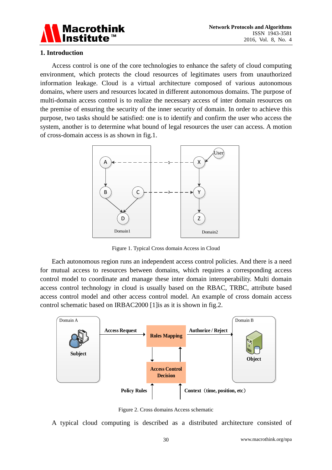

# **1. Introduction**

Access control is one of the core technologies to enhance the safety of cloud computing environment, which protects the cloud resources of legitimates users from unauthorized information leakage. Cloud is a virtual architecture composed of various autonomous domains, where users and resources located in different autonomous domains. The purpose of multi-domain access control is to realize the necessary access of inter domain resources on the premise of ensuring the security of the inner security of domain. In order to achieve this purpose, two tasks should be satisfied: one is to identify and confirm the user who access the system, another is to determine what bound of legal resources the user can access. A motion of cross-domain access is as shown in fig.1.



Figure 1. Typical Cross domain Access in Cloud

Each autonomous region runs an independent access control policies. And there is a need for mutual access to resources between domains, which requires a corresponding access control model to coordinate and manage these inter domain interoperability. Multi domain access control technology in cloud is usually based on the RBAC, TRBC, attribute based access control model and other access control model. An example of cross domain access control schematic based on IRBAC2000 [\[1\]i](#page-10-0)s as it is shown in fig.2.



Figure 2. Cross domains Access schematic

A typical cloud computing is described as a distributed architecture consisted of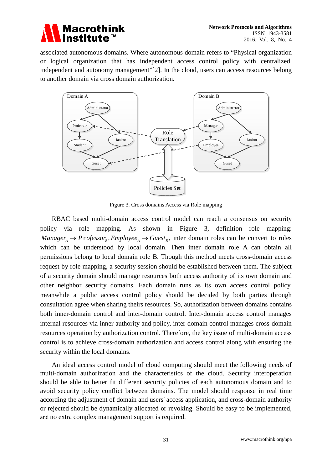

associated autonomous domains. Where autonomous domain refers to "Physical organization or logical organization that has independent access control policy with centralized, independent and autonomy management["\[2\].](#page-11-0) In the cloud, users can access resources belong to another domain via cross domain authorization.



Figure 3. Cross domains Access via Role mapping

RBAC based multi-domain access control model can reach a consensus on security policy via role mapping. As shown in Figure 3, definition role mapping:  $Manager_A \to Professor_B$ , *Employee*<sub>A</sub>  $\to Guest_B$ , inter domain roles can be convert to roles which can be understood by local domain. Then inter domain role A can obtain all permissions belong to local domain role B. Though this method meets cross-domain access request by role mapping, a security session should be established between them. The subject of a security domain should manage resources both access authority of its own domain and other neighbor security domains. Each domain runs as its own access control policy, meanwhile a public access control policy should be decided by both parties through consultation agree when sharing theirs resources. So, authorization between domains contains both inner-domain control and inter-domain control. Inter-domain access control manages internal resources via inner authority and policy, inter-domain control manages cross-domain resources operation by authorization control. Therefore, the key issue of multi-domain access control is to achieve cross-domain authorization and access control along with ensuring the security within the local domains.

An ideal access control model of cloud computing should meet the following needs of multi-domain authorization and the characteristics of the cloud. Security interoperation should be able to better fit different security policies of each autonomous domain and to avoid security policy conflict between domains. The model should response in real time according the adjustment of domain and users' access application, and cross-domain authority or rejected should be dynamically allocated or revoking. Should be easy to be implemented, and no extra complex management support is required.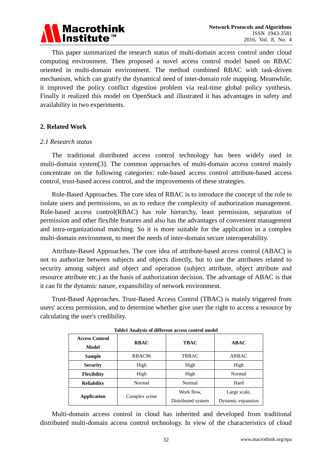

This paper summarized the research status of multi-domain access control under cloud computing environment. Then proposed a novel access control model based on RBAC oriented in multi-domain environment. The method combined RBAC with task-driven mechanism, which can gratify the dynamical need of inter-domain role mapping. Meanwhile, it improved the policy conflict digestion problem via real-time global policy synthesis. Finally it realized this model on OpenStack and illustrated it has advantages in safety and availability in two experiments.

# **2. Related Work**

# *2.1 Research status*

The traditional distributed access control technology has been widely used in multi-domain system[3]. The common approaches of multi-domain access control mainly concentrate on the following categories: role-based access control attribute-based access control, trust-based access control, and the improvements of these strategies.

Role-Based Approaches. The core idea of RBAC is to introduce the concept of the role to isolate users and permissions, so as to reduce the complexity of authorization management. Role-based access control(RBAC) has role hierarchy, least permission, separation of permission and other flexible features and also has the advantages of convenient management and intra-organizational matching. So it is more suitable for the application in a complex multi-domain environment, to meet the needs of inter-domain secure interoperability.

Attribute-Based Approaches. The core idea of attribute-based access control (ABAC) is not to authorize between subjects and objects directly, but to use the attributes related to security among subject and object and operation (subject attribute, object attribute and resource attribute etc.) as the basis of authorization decision. The advantage of ABAC is that it can fit the dynamic nature, expansibility of network environment.

Trust-Based Approaches. Trust-Based Access Control (TBAC) is mainly triggered from users' access permission, and to determine whether give user the right to access a resource by calculating the user's credibility.

| -wore cannot be can be well weeken to her of his wel |               |                    |                   |  |
|------------------------------------------------------|---------------|--------------------|-------------------|--|
| <b>Access Control</b><br>Model                       | <b>RBAC</b>   | <b>TBAC</b>        | <b>ABAC</b>       |  |
| <b>Sample</b>                                        | RBAC96        | <b>TRBAC</b>       | ARBAC             |  |
| <b>Security</b>                                      | High          | High               | High              |  |
| <b>Flexibility</b>                                   | High          | High               | Normal            |  |
| <b>Reliability</b>                                   | Normal        | Normal             | Hard              |  |
| <b>Application</b>                                   | Complex scene | Work flow,         | Large scale,      |  |
|                                                      |               | Distributed system | Dynamic expansion |  |

Multi-domain access control in cloud has inherited and developed from traditional distributed multi-domain access control technology. In view of the characteristics of cloud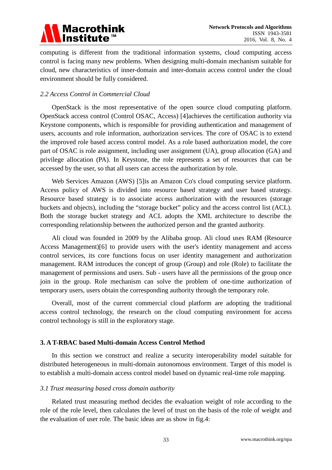# Macrot<mark>hink</mark><br>Institute™

computing is different from the traditional information systems, cloud computing access control is facing many new problems. When designing multi-domain mechanism suitable for cloud, new characteristics of inner-domain and inter-domain access control under the cloud environment should be fully considered.

# *2.2 Access Control in Commercial Cloud*

OpenStack is the most representative of the open source cloud computing platform. OpenStack access control (Control OSAC, Access) [\[4\]a](#page-11-1)chieves the certification authority via Keystone components, which is responsible for providing authentication and management of users, accounts and role information, authorization services. The core of OSAC is to extend the improved role based access control model. As a role based authorization model, the core part of OSAC is role assignment, including user assignment (UA), group allocation (GA) and privilege allocation (PA). In Keystone, the role represents a set of resources that can be accessed by the user, so that all users can access the authorization by role.

Web Services Amazon (AWS) [\[5\]i](#page-11-2)s an Amazon Co's cloud computing service platform. Access policy of AWS is divided into resource based strategy and user based strategy. Resource based strategy is to associate access authorization with the resources (storage buckets and objects), including the "storage bucket" policy and the access control list (ACL). Both the storage bucket strategy and ACL adopts the XML architecture to describe the corresponding relationship between the authorized person and the granted authority.

Ali cloud was founded in 2009 by the Alibaba group. Ali cloud uses RAM (Resource Access Management[\)\[6\]](#page-11-3) to provide users with the user's identity management and access control services, its core functions focus on user identity management and authorization management. RAM introduces the concept of group (Group) and role (Role) to facilitate the management of permissions and users. Sub - users have all the permissions of the group once join in the group. Role mechanism can solve the problem of one-time authorization of temporary users, users obtain the corresponding authority through the temporary role.

Overall, most of the current commercial cloud platform are adopting the traditional access control technology, the research on the cloud computing environment for access control technology is still in the exploratory stage.

# **3. A T-RBAC based Multi-domain Access Control Method**

In this section we construct and realize a security interoperability model suitable for distributed heterogeneous in multi-domain autonomous environment. Target of this model is to establish a multi-domain access control model based on dynamic real-time role mapping.

# *3.1 Trust measuring based cross domain authority*

Related trust measuring method decides the evaluation weight of role according to the role of the role level, then calculates the level of trust on the basis of the role of weight and the evaluation of user role. The basic ideas are as show in fig.4: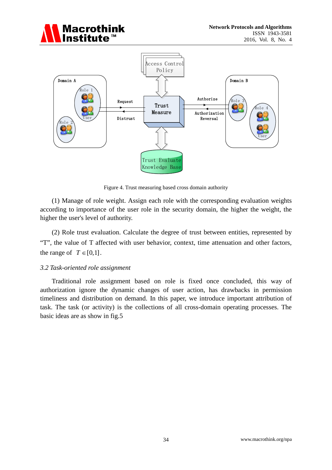



Figure 4. Trust measuring based cross domain authority

(1) Manage of role weight. Assign each role with the corresponding evaluation weights according to importance of the user role in the security domain, the higher the weight, the higher the user's level of authority.

(2) Role trust evaluation. Calculate the degree of trust between entities, represented by "T", the value of T affected with user behavior, context, time attenuation and other factors, the range of  $T \in [0,1]$ .

# *3.2 Task-oriented role assignment*

Traditional role assignment based on role is fixed once concluded, this way of authorization ignore the dynamic changes of user action, has drawbacks in permission timeliness and distribution on demand. In this paper, we introduce important attribution of task. The task (or activity) is the collections of all cross-domain operating processes. The basic ideas are as show in fig.5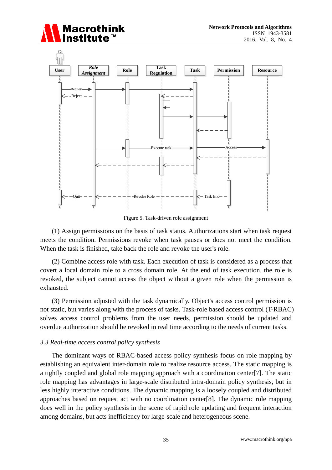



Figure 5. Task-driven role assignment

(1) Assign permissions on the basis of task status. Authorizations start when task request meets the condition. Permissions revoke when task pauses or does not meet the condition. When the task is finished, take back the role and revoke the user's role.

(2) Combine access role with task. Each execution of task is considered as a process that covert a local domain role to a cross domain role. At the end of task execution, the role is revoked, the subject cannot access the object without a given role when the permission is exhausted.

(3) Permission adjusted with the task dynamically. Object's access control permission is not static, but varies along with the process of tasks. Task-role based access control (T-RBAC) solves access control problems from the user needs, permission should be updated and overdue authorization should be revoked in real time according to the needs of current tasks.

# *3.3 Real-time access control policy synthesis*

The dominant ways of RBAC-based access policy synthesis focus on role mapping by establishing an equivalent inter-domain role to realize resource access. The static mapping is a tightly coupled and global role mapping approach with a coordination center[7]. The static role mapping has advantages in large-scale distributed intra-domain policy synthesis, but in less highly interactive conditions. The dynamic mapping is a loosely coupled and distributed approaches based on request act with no coordination cente[r\[8\].](#page-11-4) The dynamic role mapping does well in the policy synthesis in the scene of rapid role updating and frequent interaction among domains, but acts inefficiency for large-scale and heterogeneous scene.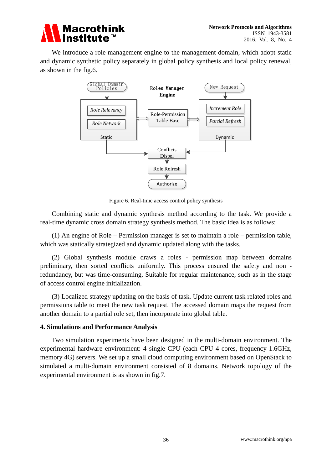

We introduce a role management engine to the management domain, which adopt static and dynamic synthetic policy separately in global policy synthesis and local policy renewal, as shown in the fig.6.



Figure 6. Real-time access control policy synthesis

Combining static and dynamic synthesis method according to the task. We provide a real-time dynamic cross domain strategy synthesis method. The basic idea is as follows:

(1) An engine of Role – Permission manager is set to maintain a role – permission table, which was statically strategized and dynamic updated along with the tasks.

(2) Global synthesis module draws a roles - permission map between domains preliminary, then sorted conflicts uniformly. This process ensured the safety and non redundancy, but was time-consuming. Suitable for regular maintenance, such as in the stage of access control engine initialization.

(3) Localized strategy updating on the basis of task. Update current task related roles and permissions table to meet the new task request. The accessed domain maps the request from another domain to a partial role set, then incorporate into global table.

# **4. Simulations and Performance Analysis**

Two simulation experiments have been designed in the multi-domain environment. The experimental hardware environment: 4 single CPU (each CPU 4 cores, frequency 1.6GHz, memory 4G) servers. We set up a small cloud computing environment based on OpenStack to simulated a multi-domain environment consisted of 8 domains. Network topology of the experimental environment is as shown in fig.7.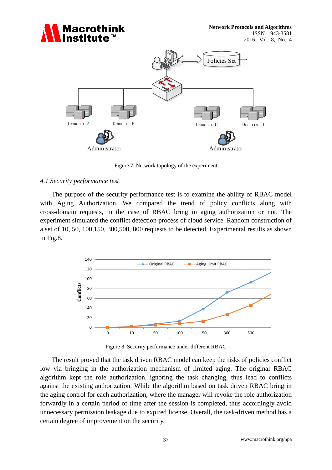



Figure 7. Network topology of the experiment

# *4.1 Security performance test*

The purpose of the security performance test is to examine the ability of RBAC model with Aging Authorization. We compared the trend of policy conflicts along with cross-domain requests, in the case of RBAC bring in aging authorization or not. The experiment simulated the conflict detection process of cloud service. Random construction of a set of 10, 50, 100,150, 300,500, 800 requests to be detected. Experimental results as shown in Fig.8.



Figure 8. Security performance under different RBAC

The result proved that the task driven RBAC model can keep the risks of policies conflict low via bringing in the authorization mechanism of limited aging. The original RBAC algorithm kept the role authorization, ignoring the task changing, thus lead to conflicts against the existing authorization. While the algorithm based on task driven RBAC bring in the aging control for each authorization, where the manager will revoke the role authorization forwardly in a certain period of time after the session is completed, thus accordingly avoid unnecessary permission leakage due to expired license. Overall, the task-driven method has a certain degree of improvement on the security.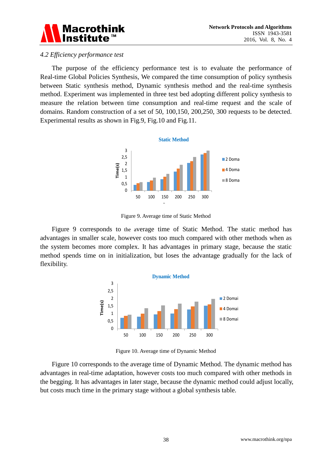

# *4.2 Efficiency performance test*

The purpose of the efficiency performance test is to evaluate the performance of Real-time Global Policies Synthesis, We compared the time consumption of policy synthesis between Static synthesis method, Dynamic synthesis method and the real-time synthesis method. Experiment was implemented in three test bed adopting different policy synthesis to measure the relation between time consumption and real-time request and the scale of domains. Random construction of a set of 50, 100,150, 200,250, 300 requests to be detected. Experimental results as shown in Fig.9, Fig.10 and Fig.11.



Figure 9. Average time of Static Method

Figure 9 corresponds to the average time of Static Method. The static method has advantages in smaller scale, however costs too much compared with other methods when as the system becomes more complex. It has advantages in primary stage, because the static method spends time on in initialization, but loses the advantage gradually for the lack of flexibility.



Figure 10. Average time of Dynamic Method

Figure 10 corresponds to the average time of Dynamic Method. The dynamic method has advantages in real-time adaptation, however costs too much compared with other methods in the begging. It has advantages in later stage, because the dynamic method could adjust locally, but costs much time in the primary stage without a global synthesis table.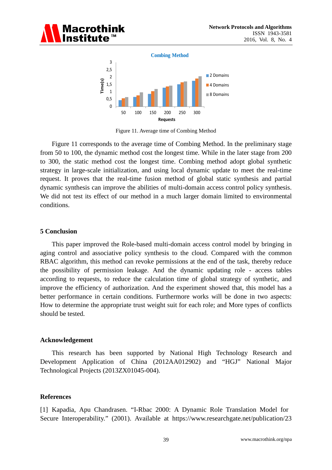



Figure 11. Average time of Combing Method

Figure 11 corresponds to the average time of Combing Method. In the preliminary stage from 50 to 100, the dynamic method cost the longest time. While in the later stage from 200 to 300, the static method cost the longest time. Combing method adopt global synthetic strategy in large-scale initialization, and using local dynamic update to meet the real-time request. It proves that the real-time fusion method of global static synthesis and partial dynamic synthesis can improve the abilities of multi-domain access control policy synthesis. We did not test its effect of our method in a much larger domain limited to environmental conditions.

# **5 Conclusion**

This paper improved the Role-based multi-domain access control model by bringing in aging control and associative policy synthesis to the cloud. Compared with the common RBAC algorithm, this method can revoke permissions at the end of the task, thereby reduce the possibility of permission leakage. And the dynamic updating role - access tables according to requests, to reduce the calculation time of global strategy of synthetic, and improve the efficiency of authorization. And the experiment showed that, this model has a better performance in certain conditions. Furthermore works will be done in two aspects: How to determine the appropriate trust weight suit for each role; and More types of conflicts should be tested.

# **Acknowledgement**

This research has been supported by National High Technology Research and Development Application of China (2012AA012902) and "HGJ" National Major Technological Projects (2013ZX01045-004).

# **References**

<span id="page-10-0"></span>[1] Kapadia, Apu Chandrasen. "I-Rbac 2000: A Dynamic Role Translation Model for Secure Interoperability." (2001). Available at https://www.researchgate.net/publication/23